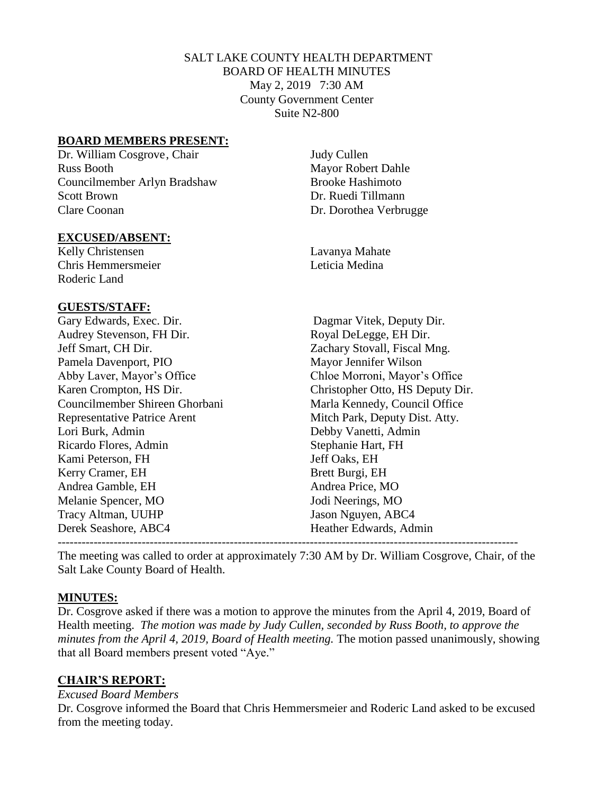### SALT LAKE COUNTY HEALTH DEPARTMENT BOARD OF HEALTH MINUTES May 2, 2019 7:30 AM County Government Center Suite N2-800

#### **BOARD MEMBERS PRESENT:**

Dr. William Cosgrove, Chair Judy Cullen Russ Booth Mayor Robert Dahle Councilmember Arlyn Bradshaw Brooke Hashimoto Scott Brown Dr. Ruedi Tillmann Clare Coonan Dr. Dorothea Verbrugge

#### **EXCUSED/ABSENT:**

Kelly Christensen Lavanya Mahate Chris Hemmersmeier Leticia Medina Roderic Land

#### **GUESTS/STAFF:**

| Gary Edwards, Exec. Dir.<br>Dagmar Vitek, Deputy Dir.                 |
|-----------------------------------------------------------------------|
| Royal DeLegge, EH Dir.<br>Audrey Stevenson, FH Dir.                   |
| Jeff Smart, CH Dir.<br>Zachary Stovall, Fiscal Mng.                   |
| Mayor Jennifer Wilson<br>Pamela Davenport, PIO                        |
| Abby Laver, Mayor's Office<br>Chloe Morroni, Mayor's Office           |
| Karen Crompton, HS Dir.<br>Christopher Otto, HS Deputy Dir.           |
| Councilmember Shireen Ghorbani<br>Marla Kennedy, Council Office       |
| <b>Representative Patrice Arent</b><br>Mitch Park, Deputy Dist. Atty. |
| Debby Vanetti, Admin<br>Lori Burk, Admin                              |
| Stephanie Hart, FH<br>Ricardo Flores, Admin                           |
| Jeff Oaks, EH<br>Kami Peterson, FH                                    |
| Kerry Cramer, EH<br>Brett Burgi, EH                                   |
| Andrea Gamble, EH<br>Andrea Price, MO                                 |
| Melanie Spencer, MO<br>Jodi Neerings, MO                              |
| Tracy Altman, UUHP<br>Jason Nguyen, ABC4                              |
| Derek Seashore, ABC4<br>Heather Edwards, Admin                        |
|                                                                       |

The meeting was called to order at approximately 7:30 AM by Dr. William Cosgrove, Chair, of the Salt Lake County Board of Health.

### **MINUTES:**

Dr. Cosgrove asked if there was a motion to approve the minutes from the April 4, 2019, Board of Health meeting. *The motion was made by Judy Cullen, seconded by Russ Booth, to approve the minutes from the April 4, 2019, Board of Health meeting.* The motion passed unanimously, showing that all Board members present voted "Aye."

### **CHAIR'S REPORT:**

*Excused Board Members*

Dr. Cosgrove informed the Board that Chris Hemmersmeier and Roderic Land asked to be excused from the meeting today.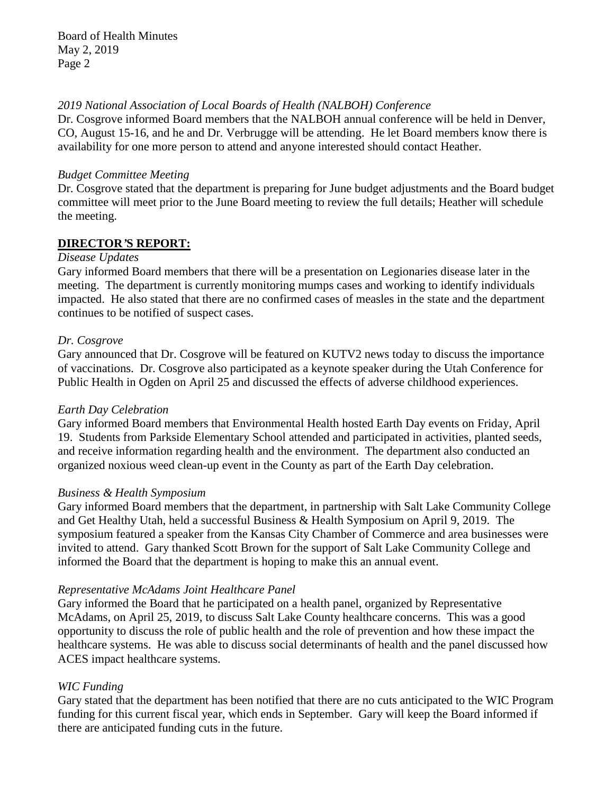#### *2019 National Association of Local Boards of Health (NALBOH) Conference*

Dr. Cosgrove informed Board members that the NALBOH annual conference will be held in Denver, CO, August 15-16, and he and Dr. Verbrugge will be attending. He let Board members know there is availability for one more person to attend and anyone interested should contact Heather.

#### *Budget Committee Meeting*

Dr. Cosgrove stated that the department is preparing for June budget adjustments and the Board budget committee will meet prior to the June Board meeting to review the full details; Heather will schedule the meeting.

# **DIRECTOR***'***S REPORT:**

#### *Disease Updates*

Gary informed Board members that there will be a presentation on Legionaries disease later in the meeting. The department is currently monitoring mumps cases and working to identify individuals impacted. He also stated that there are no confirmed cases of measles in the state and the department continues to be notified of suspect cases.

### *Dr. Cosgrove*

Gary announced that Dr. Cosgrove will be featured on KUTV2 news today to discuss the importance of vaccinations. Dr. Cosgrove also participated as a keynote speaker during the Utah Conference for Public Health in Ogden on April 25 and discussed the effects of adverse childhood experiences.

### *Earth Day Celebration*

Gary informed Board members that Environmental Health hosted Earth Day events on Friday, April 19. Students from Parkside Elementary School attended and participated in activities, planted seeds, and receive information regarding health and the environment. The department also conducted an organized noxious weed clean-up event in the County as part of the Earth Day celebration.

### *Business & Health Symposium*

Gary informed Board members that the department, in partnership with Salt Lake Community College and Get Healthy Utah, held a successful Business & Health Symposium on April 9, 2019. The symposium featured a speaker from the Kansas City Chamber of Commerce and area businesses were invited to attend. Gary thanked Scott Brown for the support of Salt Lake Community College and informed the Board that the department is hoping to make this an annual event.

### *Representative McAdams Joint Healthcare Panel*

Gary informed the Board that he participated on a health panel, organized by Representative McAdams, on April 25, 2019, to discuss Salt Lake County healthcare concerns. This was a good opportunity to discuss the role of public health and the role of prevention and how these impact the healthcare systems. He was able to discuss social determinants of health and the panel discussed how ACES impact healthcare systems.

### *WIC Funding*

Gary stated that the department has been notified that there are no cuts anticipated to the WIC Program funding for this current fiscal year, which ends in September. Gary will keep the Board informed if there are anticipated funding cuts in the future.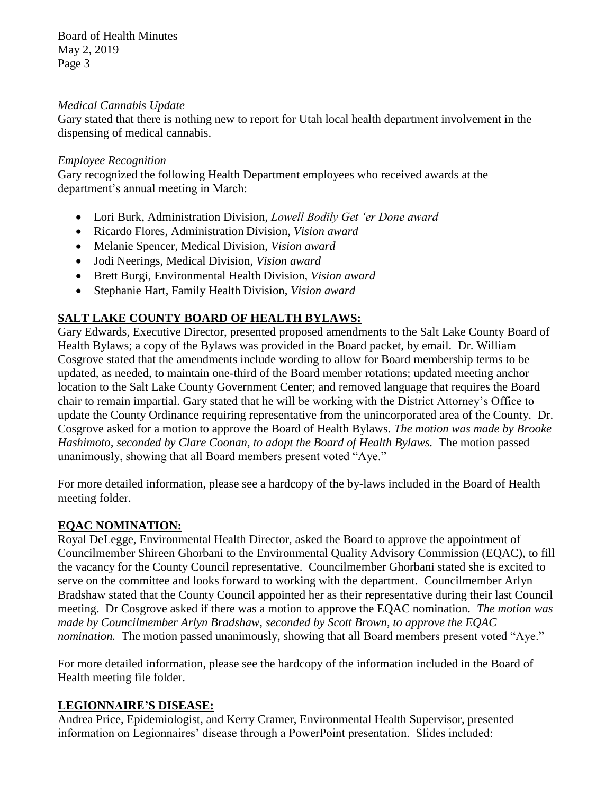#### *Medical Cannabis Update*

Gary stated that there is nothing new to report for Utah local health department involvement in the dispensing of medical cannabis.

#### *Employee Recognition*

Gary recognized the following Health Department employees who received awards at the department's annual meeting in March:

- Lori Burk, Administration Division, *Lowell Bodily Get 'er Done award*
- Ricardo Flores, Administration Division, *Vision award*
- Melanie Spencer, Medical Division, *Vision award*
- Jodi Neerings, Medical Division, *Vision award*
- Brett Burgi, Environmental Health Division, *Vision award*
- Stephanie Hart, Family Health Division, *Vision award*

# **SALT LAKE COUNTY BOARD OF HEALTH BYLAWS:**

Gary Edwards, Executive Director, presented proposed amendments to the Salt Lake County Board of Health Bylaws; a copy of the Bylaws was provided in the Board packet, by email. Dr. William Cosgrove stated that the amendments include wording to allow for Board membership terms to be updated, as needed, to maintain one-third of the Board member rotations; updated meeting anchor location to the Salt Lake County Government Center; and removed language that requires the Board chair to remain impartial. Gary stated that he will be working with the District Attorney's Office to update the County Ordinance requiring representative from the unincorporated area of the County. Dr. Cosgrove asked for a motion to approve the Board of Health Bylaws. *The motion was made by Brooke Hashimoto, seconded by Clare Coonan, to adopt the Board of Health Bylaws.* The motion passed unanimously, showing that all Board members present voted "Aye."

For more detailed information, please see a hardcopy of the by-laws included in the Board of Health meeting folder.

### **EQAC NOMINATION:**

Royal DeLegge, Environmental Health Director, asked the Board to approve the appointment of Councilmember Shireen Ghorbani to the Environmental Quality Advisory Commission (EQAC), to fill the vacancy for the County Council representative. Councilmember Ghorbani stated she is excited to serve on the committee and looks forward to working with the department. Councilmember Arlyn Bradshaw stated that the County Council appointed her as their representative during their last Council meeting. Dr Cosgrove asked if there was a motion to approve the EQAC nomination. *The motion was made by Councilmember Arlyn Bradshaw, seconded by Scott Brown, to approve the EQAC nomination*. The motion passed unanimously, showing that all Board members present voted "Aye."

For more detailed information, please see the hardcopy of the information included in the Board of Health meeting file folder.

### **LEGIONNAIRE'S DISEASE:**

Andrea Price, Epidemiologist, and Kerry Cramer, Environmental Health Supervisor, presented information on Legionnaires' disease through a PowerPoint presentation. Slides included: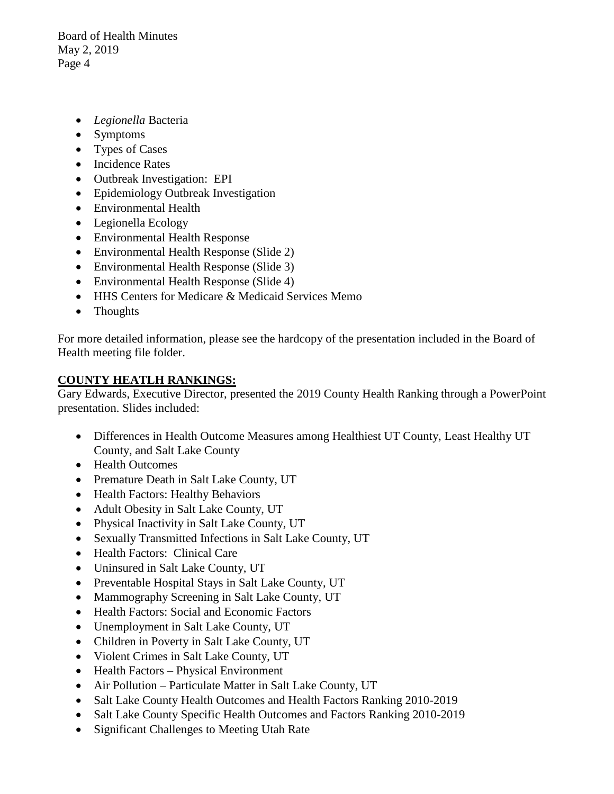- *Legionella* Bacteria
- Symptoms
- Types of Cases
- Incidence Rates
- Outbreak Investigation: EPI
- Epidemiology Outbreak Investigation
- Environmental Health
- Legionella Ecology
- Environmental Health Response
- Environmental Health Response (Slide 2)
- Environmental Health Response (Slide 3)
- Environmental Health Response (Slide 4)
- HHS Centers for Medicare & Medicaid Services Memo
- Thoughts

For more detailed information, please see the hardcopy of the presentation included in the Board of Health meeting file folder.

### **COUNTY HEATLH RANKINGS:**

Gary Edwards, Executive Director, presented the 2019 County Health Ranking through a PowerPoint presentation. Slides included:

- Differences in Health Outcome Measures among Healthiest UT County, Least Healthy UT County, and Salt Lake County
- Health Outcomes
- Premature Death in Salt Lake County, UT
- Health Factors: Healthy Behaviors
- Adult Obesity in Salt Lake County, UT
- Physical Inactivity in Salt Lake County, UT
- Sexually Transmitted Infections in Salt Lake County, UT
- Health Factors: Clinical Care
- Uninsured in Salt Lake County, UT
- Preventable Hospital Stays in Salt Lake County, UT
- Mammography Screening in Salt Lake County, UT
- Health Factors: Social and Economic Factors
- Unemployment in Salt Lake County, UT
- Children in Poverty in Salt Lake County, UT
- Violent Crimes in Salt Lake County, UT
- Health Factors Physical Environment
- Air Pollution Particulate Matter in Salt Lake County, UT
- Salt Lake County Health Outcomes and Health Factors Ranking 2010-2019
- Salt Lake County Specific Health Outcomes and Factors Ranking 2010-2019
- Significant Challenges to Meeting Utah Rate